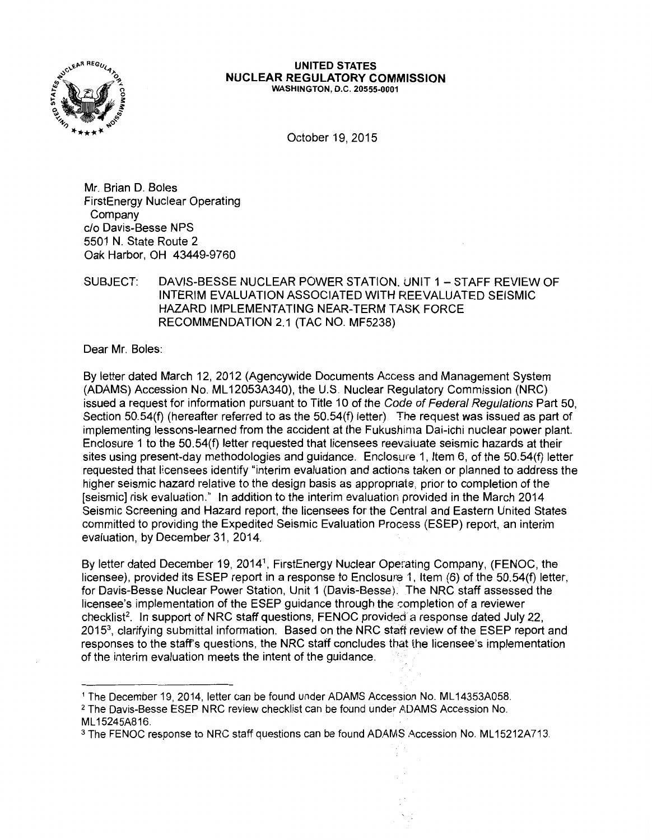

#### **UNITED STATES NUCLEAR REGULATORY COMMISSION**  WASHINGTON, D.C. 20555-0001

October 19, 2015

Mr. Brian D. Boles FirstEnergy Nuclear Operating Company c/o Davis-Besse NPS 5501 N. State Route 2 Oak Harbor, OH 43449-9760

# SUBJECT: DAVIS-BESSE NUCLEAR POWER STATION. UNIT 1 - STAFF REVIEW OF INTERIM EVALUATION ASSOCIATED WITH REEVALUATED SEISMIC HAZARD IMPLEMENTATING NEAR-TERM TASK FORCE RECOMMENDATION 2.1 (TAC NO. MF5238)

Dear Mr. Boles:

By letter dated March 12, 2012 (Agencywide Documents Access and Management System (ADAMS) Accession No. ML 12053A340), the U.S. Nuclear Regulatory Commission (NRC) issued a request for information pursuant to Title 10 of the Code of Federal Regulations Part 50, Section 50.54(f) (hereafter referred to as the 50.54(f) letter) The request was issued as part of implementing lessons-learned from the accident at the Fukushima Dai-ichi nuclear power plant. Enclosure 1 to the 50.54(f) letter requested that licensees reevaiuate seismic hazards at their sites using present-day methodologies and guidance. Enclosure 1, Item 6, of the 50.54(f) letter requested that licensees identify "interim evaluation and actions taken or planned to address the higher seismic hazard relative to the design basis as appropriate, prior to completion of the [seismic] risk evaluation." In addition to the interim evaluation provided in the March 2014 Seismic Screening and Hazard report, the licensees for the Central and Eastern United States committed to providing the Expedited Seismic Evaluation Process (ESEP) report, an interim evaluation, by December 31, 2014.

By letter dated December 19, 20141, FirstEnergy Nuclear Operating Company, (FENOC, the licensee), provided its ESEP report in a response to Enclosure 1, Item  $(6)$  of the 50.54 $(f)$  letter, for Davis-Besse Nuclear Power Station, Unit 1 (Davis-Besse). The NRC staff assessed the licensee's implementation of the ESEP guidance through the completion of a reviewer checklist2. In support of NRC staff questions, FENOC provided a response dated July 22, 2015<sup>3</sup>, clarifying submittal information. Based on the NRC staff review of the ESEP report and responses to the staff's questions, the NRC staff concludes that the licensee's implementation of the interim evaluation meets the intent of the guidance.

<sup>&</sup>lt;sup>1</sup> The December 19, 2014, letter can be found under ADAMS Accession No. ML14353A058.

<sup>&</sup>lt;sup>2</sup> The Davis-Besse ESEP NRC review checklist can be found under ADAMS Accession No. ML 15245A816.

<sup>&</sup>lt;sup>3</sup> The FENOC response to NRC staff questions can be found ADAMS Accession No. ML15212A713.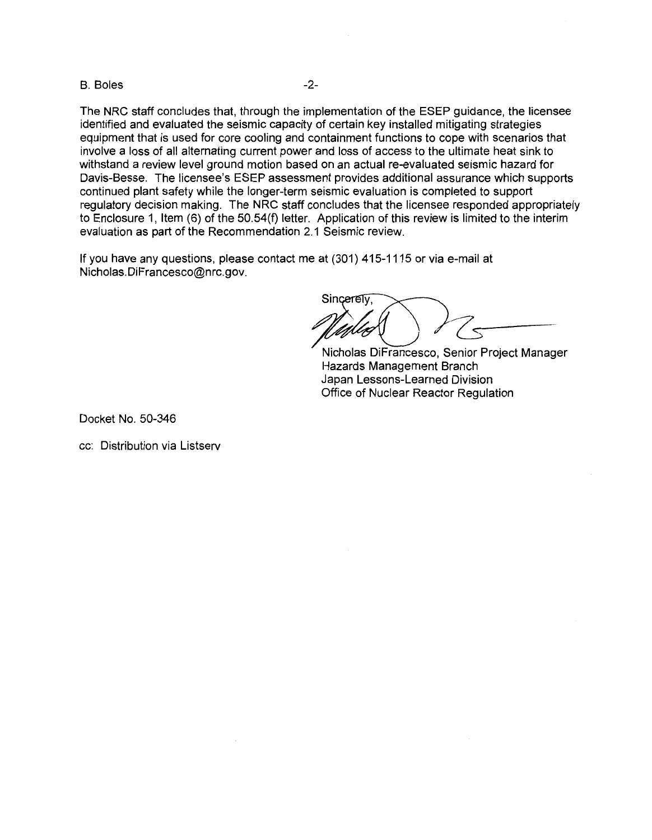### B. Boles -2-

The NRC staff concludes that, through the implementation of the ESEP guidance, the licensee identified and evaluated the seismic capacity of certain key installed mitigating strategies equipment that is used for core cooling and containment functions to cope with scenarios that involve a loss of all alternating current power and loss of access to the ultimate heat sink to withstand a review level ground motion based on an actual re-evaluated seismic hazard for Davis-Besse. The licensee's ESEP assessment provides additional assurance which supports continued plant safety while the longer-term seismic evaluation is completed to support regulatory decision making. The NRC staff concludes that the licensee responded appropriately to Enclosure 1, Item (6) of the 50.54(f) letter. Application of this review is limited to the interim evaluation as part of the Recommendation 2.1 Seismic review.

If you have any questions, please contact me at (301) 415-1115 or via e-mail at Nicholas.DiFrancesco@nrc.gov.

Sincerely,

Nicholas DiFrancesco, Senior Project Manager Hazards Management Branch Japan Lessons-Learned Division Office of Nuclear Reactor Regulation

Docket No. 50-346

cc: Distribution via Listserv